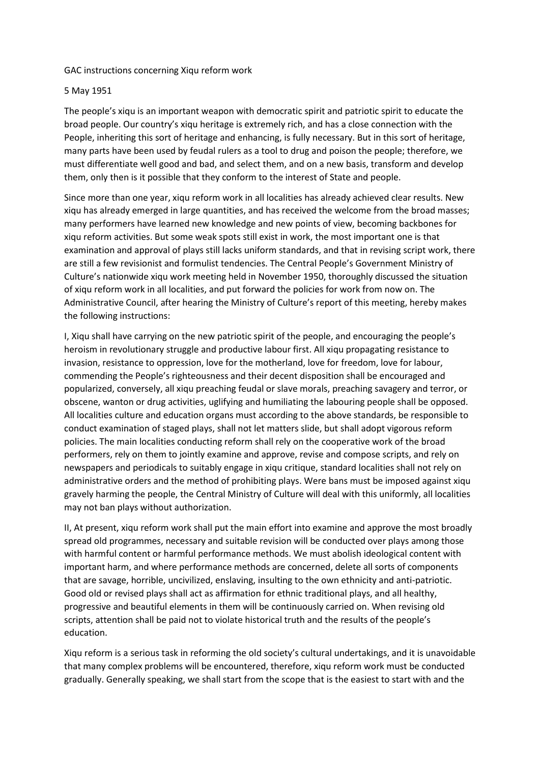## GAC instructions concerning Xiqu reform work

## 5 May 1951

The people's xiqu is an important weapon with democratic spirit and patriotic spirit to educate the broad people. Our country's xiqu heritage is extremely rich, and has a close connection with the People, inheriting this sort of heritage and enhancing, is fully necessary. But in this sort of heritage, many parts have been used by feudal rulers as a tool to drug and poison the people; therefore, we must differentiate well good and bad, and select them, and on a new basis, transform and develop them, only then is it possible that they conform to the interest of State and people.

Since more than one year, xiqu reform work in all localities has already achieved clear results. New xiqu has already emerged in large quantities, and has received the welcome from the broad masses; many performers have learned new knowledge and new points of view, becoming backbones for xiqu reform activities. But some weak spots still exist in work, the most important one is that examination and approval of plays still lacks uniform standards, and that in revising script work, there are still a few revisionist and formulist tendencies. The Central People's Government Ministry of Culture's nationwide xiqu work meeting held in November 1950, thoroughly discussed the situation of xiqu reform work in all localities, and put forward the policies for work from now on. The Administrative Council, after hearing the Ministry of Culture's report of this meeting, hereby makes the following instructions:

I, Xiqu shall have carrying on the new patriotic spirit of the people, and encouraging the people's heroism in revolutionary struggle and productive labour first. All xiqu propagating resistance to invasion, resistance to oppression, love for the motherland, love for freedom, love for labour, commending the People's righteousness and their decent disposition shall be encouraged and popularized, conversely, all xiqu preaching feudal or slave morals, preaching savagery and terror, or obscene, wanton or drug activities, uglifying and humiliating the labouring people shall be opposed. All localities culture and education organs must according to the above standards, be responsible to conduct examination of staged plays, shall not let matters slide, but shall adopt vigorous reform policies. The main localities conducting reform shall rely on the cooperative work of the broad performers, rely on them to jointly examine and approve, revise and compose scripts, and rely on newspapers and periodicals to suitably engage in xiqu critique, standard localities shall not rely on administrative orders and the method of prohibiting plays. Were bans must be imposed against xiqu gravely harming the people, the Central Ministry of Culture will deal with this uniformly, all localities may not ban plays without authorization.

II, At present, xiqu reform work shall put the main effort into examine and approve the most broadly spread old programmes, necessary and suitable revision will be conducted over plays among those with harmful content or harmful performance methods. We must abolish ideological content with important harm, and where performance methods are concerned, delete all sorts of components that are savage, horrible, uncivilized, enslaving, insulting to the own ethnicity and anti-patriotic. Good old or revised plays shall act as affirmation for ethnic traditional plays, and all healthy, progressive and beautiful elements in them will be continuously carried on. When revising old scripts, attention shall be paid not to violate historical truth and the results of the people's education.

Xiqu reform is a serious task in reforming the old society's cultural undertakings, and it is unavoidable that many complex problems will be encountered, therefore, xiqu reform work must be conducted gradually. Generally speaking, we shall start from the scope that is the easiest to start with and the